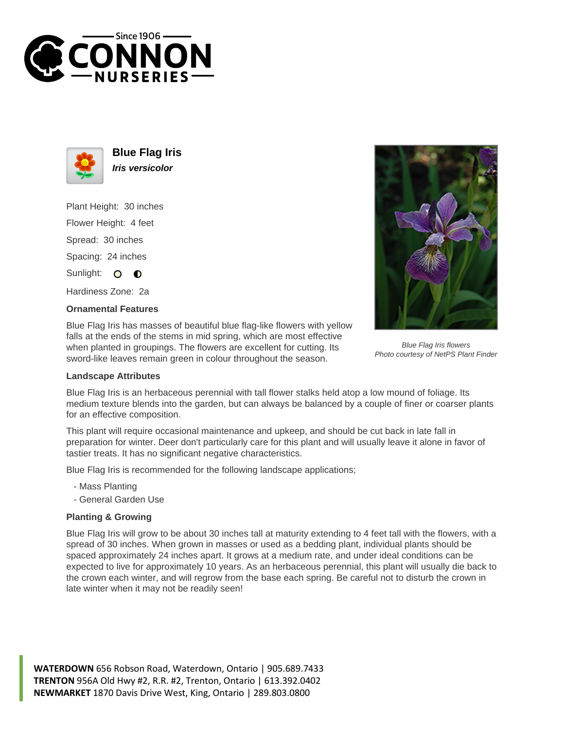



**Blue Flag Iris Iris versicolor**

Plant Height: 30 inches Flower Height: 4 feet Spread: 30 inches Spacing: 24 inches Sunlight: O  $\bullet$ 

Hardiness Zone: 2a

## **Ornamental Features**

Blue Flag Iris has masses of beautiful blue flag-like flowers with yellow falls at the ends of the stems in mid spring, which are most effective when planted in groupings. The flowers are excellent for cutting. Its sword-like leaves remain green in colour throughout the season.



Blue Flag Iris flowers Photo courtesy of NetPS Plant Finder

## **Landscape Attributes**

Blue Flag Iris is an herbaceous perennial with tall flower stalks held atop a low mound of foliage. Its medium texture blends into the garden, but can always be balanced by a couple of finer or coarser plants for an effective composition.

This plant will require occasional maintenance and upkeep, and should be cut back in late fall in preparation for winter. Deer don't particularly care for this plant and will usually leave it alone in favor of tastier treats. It has no significant negative characteristics.

Blue Flag Iris is recommended for the following landscape applications;

- Mass Planting
- General Garden Use

## **Planting & Growing**

Blue Flag Iris will grow to be about 30 inches tall at maturity extending to 4 feet tall with the flowers, with a spread of 30 inches. When grown in masses or used as a bedding plant, individual plants should be spaced approximately 24 inches apart. It grows at a medium rate, and under ideal conditions can be expected to live for approximately 10 years. As an herbaceous perennial, this plant will usually die back to the crown each winter, and will regrow from the base each spring. Be careful not to disturb the crown in late winter when it may not be readily seen!

**WATERDOWN** 656 Robson Road, Waterdown, Ontario | 905.689.7433 **TRENTON** 956A Old Hwy #2, R.R. #2, Trenton, Ontario | 613.392.0402 **NEWMARKET** 1870 Davis Drive West, King, Ontario | 289.803.0800